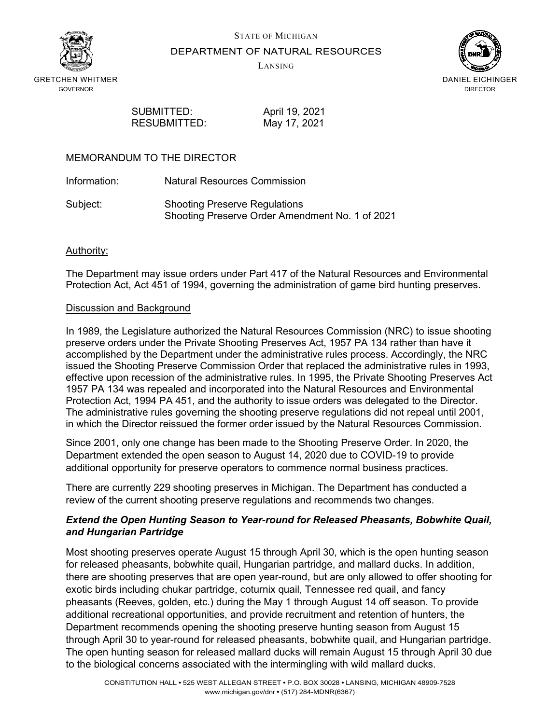



DEPARTMENT OF NATURAL RESOURCES

LANSING



SUBMITTED: April 19, 2021 RESUBMITTED: May 17, 2021

# MEMORANDUM TO THE DIRECTOR

Information: Natural Resources Commission

Subject: Shooting Preserve Regulations Shooting Preserve Order Amendment No. 1 of 2021

# Authority:

The Department may issue orders under Part 417 of the Natural Resources and Environmental Protection Act, Act 451 of 1994, governing the administration of game bird hunting preserves.

#### Discussion and Background

In 1989, the Legislature authorized the Natural Resources Commission (NRC) to issue shooting preserve orders under the Private Shooting Preserves Act, 1957 PA 134 rather than have it accomplished by the Department under the administrative rules process. Accordingly, the NRC issued the Shooting Preserve Commission Order that replaced the administrative rules in 1993, effective upon recession of the administrative rules. In 1995, the Private Shooting Preserves Act 1957 PA 134 was repealed and incorporated into the Natural Resources and Environmental Protection Act, 1994 PA 451, and the authority to issue orders was delegated to the Director. The administrative rules governing the shooting preserve regulations did not repeal until 2001, in which the Director reissued the former order issued by the Natural Resources Commission.

Since 2001, only one change has been made to the Shooting Preserve Order. In 2020, the Department extended the open season to August 14, 2020 due to COVID-19 to provide additional opportunity for preserve operators to commence normal business practices.

There are currently 229 shooting preserves in Michigan. The Department has conducted a review of the current shooting preserve regulations and recommends two changes.

# *Extend the Open Hunting Season to Year-round for Released Pheasants, Bobwhite Quail, and Hungarian Partridge*

Most shooting preserves operate August 15 through April 30, which is the open hunting season for released pheasants, bobwhite quail, Hungarian partridge, and mallard ducks. In addition, there are shooting preserves that are open year-round, but are only allowed to offer shooting for exotic birds including chukar partridge, coturnix quail, Tennessee red quail, and fancy pheasants (Reeves, golden, etc.) during the May 1 through August 14 off season. To provide additional recreational opportunities, and provide recruitment and retention of hunters, the Department recommends opening the shooting preserve hunting season from August 15 through April 30 to year-round for released pheasants, bobwhite quail, and Hungarian partridge. The open hunting season for released mallard ducks will remain August 15 through April 30 due to the biological concerns associated with the intermingling with wild mallard ducks.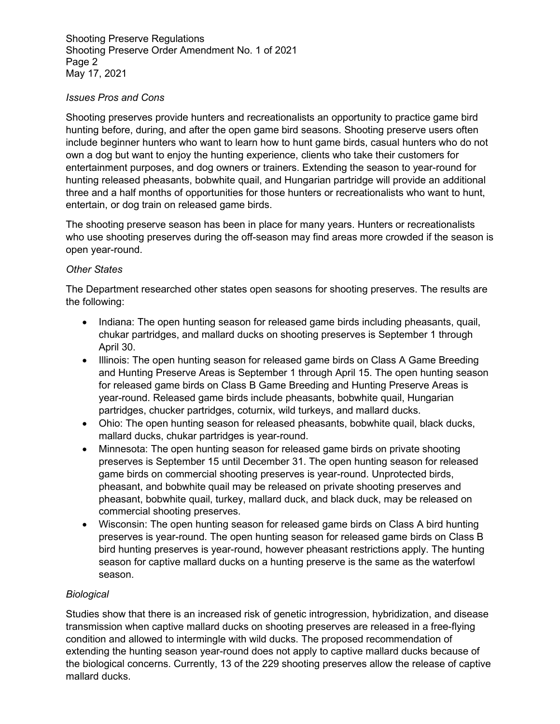Shooting Preserve Regulations Shooting Preserve Order Amendment No. 1 of 2021 Page 2 May 17, 2021

# *Issues Pros and Cons*

Shooting preserves provide hunters and recreationalists an opportunity to practice game bird hunting before, during, and after the open game bird seasons. Shooting preserve users often include beginner hunters who want to learn how to hunt game birds, casual hunters who do not own a dog but want to enjoy the hunting experience, clients who take their customers for entertainment purposes, and dog owners or trainers. Extending the season to year-round for hunting released pheasants, bobwhite quail, and Hungarian partridge will provide an additional three and a half months of opportunities for those hunters or recreationalists who want to hunt, entertain, or dog train on released game birds.

The shooting preserve season has been in place for many years. Hunters or recreationalists who use shooting preserves during the off-season may find areas more crowded if the season is open year-round.

# *Other States*

The Department researched other states open seasons for shooting preserves. The results are the following:

- Indiana: The open hunting season for released game birds including pheasants, quail, chukar partridges, and mallard ducks on shooting preserves is September 1 through April 30.
- Illinois: The open hunting season for released game birds on Class A Game Breeding and Hunting Preserve Areas is September 1 through April 15. The open hunting season for released game birds on Class B Game Breeding and Hunting Preserve Areas is year-round. Released game birds include pheasants, bobwhite quail, Hungarian partridges, chucker partridges, coturnix, wild turkeys, and mallard ducks.
- Ohio: The open hunting season for released pheasants, bobwhite quail, black ducks, mallard ducks, chukar partridges is year-round.
- Minnesota: The open hunting season for released game birds on private shooting preserves is September 15 until December 31. The open hunting season for released game birds on commercial shooting preserves is year-round. Unprotected birds, pheasant, and bobwhite quail may be released on private shooting preserves and pheasant, bobwhite quail, turkey, mallard duck, and black duck, may be released on commercial shooting preserves.
- Wisconsin: The open hunting season for released game birds on Class A bird hunting preserves is year-round. The open hunting season for released game birds on Class B bird hunting preserves is year-round, however pheasant restrictions apply. The hunting season for captive mallard ducks on a hunting preserve is the same as the waterfowl season.

# *Biological*

Studies show that there is an increased risk of genetic introgression, hybridization, and disease transmission when captive mallard ducks on shooting preserves are released in a free-flying condition and allowed to intermingle with wild ducks. The proposed recommendation of extending the hunting season year-round does not apply to captive mallard ducks because of the biological concerns. Currently, 13 of the 229 shooting preserves allow the release of captive mallard ducks.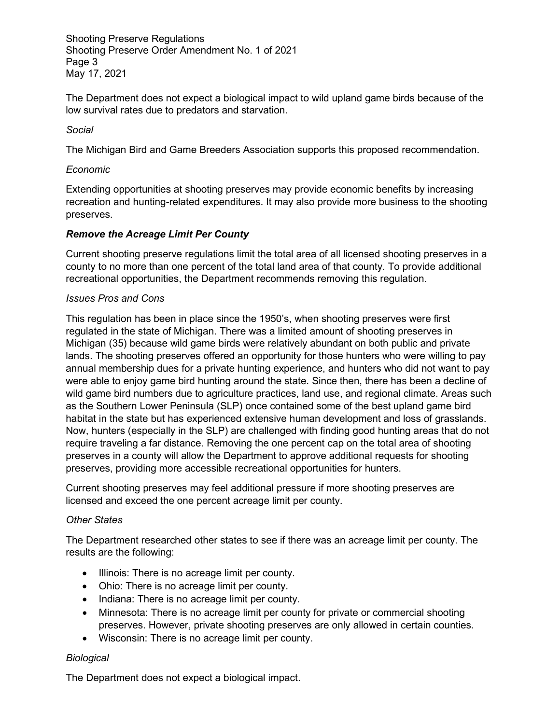Shooting Preserve Regulations Shooting Preserve Order Amendment No. 1 of 2021 Page 3 May 17, 2021

The Department does not expect a biological impact to wild upland game birds because of the low survival rates due to predators and starvation.

# *Social*

The Michigan Bird and Game Breeders Association supports this proposed recommendation.

#### *Economic*

Extending opportunities at shooting preserves may provide economic benefits by increasing recreation and hunting-related expenditures. It may also provide more business to the shooting preserves.

# *Remove the Acreage Limit Per County*

Current shooting preserve regulations limit the total area of all licensed shooting preserves in a county to no more than one percent of the total land area of that county. To provide additional recreational opportunities, the Department recommends removing this regulation.

#### *Issues Pros and Cons*

This regulation has been in place since the 1950's, when shooting preserves were first regulated in the state of Michigan. There was a limited amount of shooting preserves in Michigan (35) because wild game birds were relatively abundant on both public and private lands. The shooting preserves offered an opportunity for those hunters who were willing to pay annual membership dues for a private hunting experience, and hunters who did not want to pay were able to enjoy game bird hunting around the state. Since then, there has been a decline of wild game bird numbers due to agriculture practices, land use, and regional climate. Areas such as the Southern Lower Peninsula (SLP) once contained some of the best upland game bird habitat in the state but has experienced extensive human development and loss of grasslands. Now, hunters (especially in the SLP) are challenged with finding good hunting areas that do not require traveling a far distance. Removing the one percent cap on the total area of shooting preserves in a county will allow the Department to approve additional requests for shooting preserves, providing more accessible recreational opportunities for hunters.

Current shooting preserves may feel additional pressure if more shooting preserves are licensed and exceed the one percent acreage limit per county.

#### *Other States*

The Department researched other states to see if there was an acreage limit per county. The results are the following:

- Illinois: There is no acreage limit per county.
- Ohio: There is no acreage limit per county.
- Indiana: There is no acreage limit per county.
- Minnesota: There is no acreage limit per county for private or commercial shooting preserves. However, private shooting preserves are only allowed in certain counties.
- Wisconsin: There is no acreage limit per county.

# *Biological*

The Department does not expect a biological impact.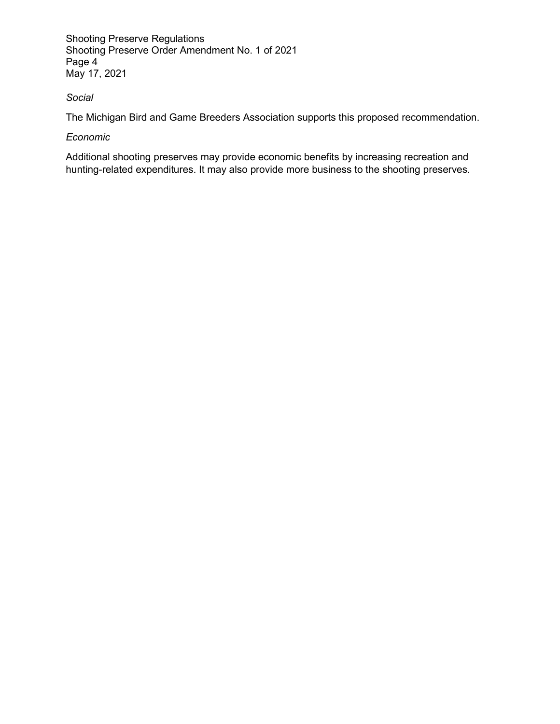Shooting Preserve Regulations Shooting Preserve Order Amendment No. 1 of 2021 Page 4 May 17, 2021

# *Social*

The Michigan Bird and Game Breeders Association supports this proposed recommendation.

# *Economic*

Additional shooting preserves may provide economic benefits by increasing recreation and hunting-related expenditures. It may also provide more business to the shooting preserves.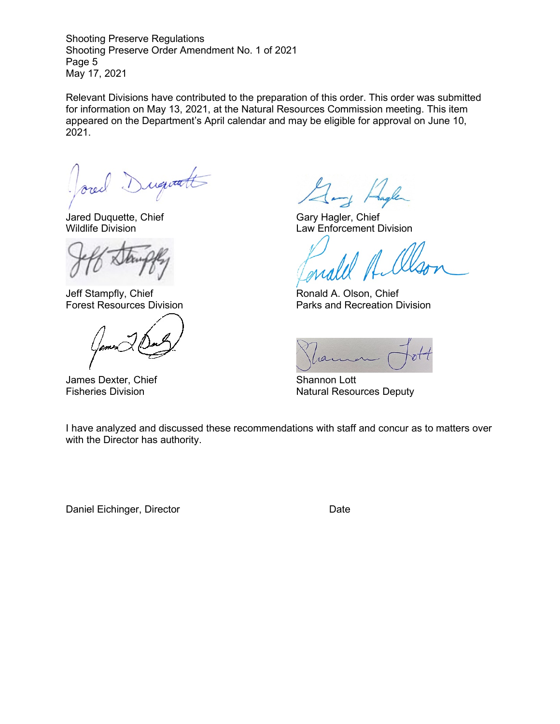Shooting Preserve Regulations Shooting Preserve Order Amendment No. 1 of 2021 Page 5 May 17, 2021

Relevant Divisions have contributed to the preparation of this order. This order was submitted for information on May 13, 2021, at the Natural Resources Commission meeting. This item appeared on the Department's April calendar and may be eligible for approval on June 10, 2021.

Dugitatt

Jared Duquette, Chief Gary Hagler, Chief Gary Hagler, Chief Gary Hagler, Chief Gary Hagler, Chief Gary Hagler, Chief Gary Hagler, Chief Gary Hagler, Chief Gary Hagler, Chief Gary Hagler, Chief Gary Hagler, Chief Gary Hagle

Jeff Stampfly, Chief **Ronald A. Olson, Chief** Ronald A. Olson, Chief

James Dexter, Chief Shannon Lott

Law Enforcement Division

Forest Resources Division **Parks** and Recreation Division

ran

Fisheries Division **Natural Resources Deputy** Natural Resources Deputy

I have analyzed and discussed these recommendations with staff and concur as to matters over with the Director has authority.

Daniel Eichinger, Director Date Date